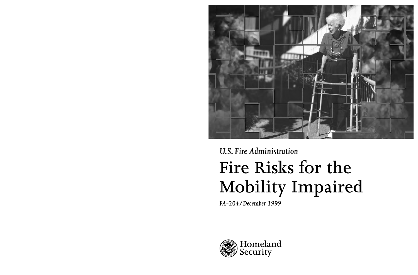

# *U.S. Fire Administration* **Fire Risks for the Mobility Impaired**

*FA-204/December 1999*

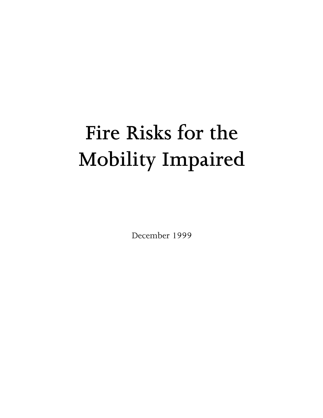## **Fire Risks for the Mobility Impaired**

December 1999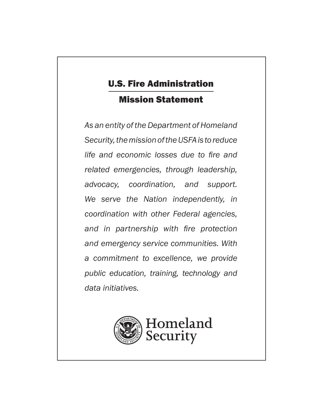## U.S. Fire Administration

## Mission Statement

*As an entity of the Department of Homeland Security, the mission of the USFA is to reduce life and economic losses due to fire and related emergencies, through leadership, advocacy, coordination, and support. We serve the Nation independently, in coordination with other Federal agencies, and in partnership with fire protection and emergency service communities. With a commitment to excellence, we provide public education, training, technology and data initiatives.*

**Homeland**

**Security**

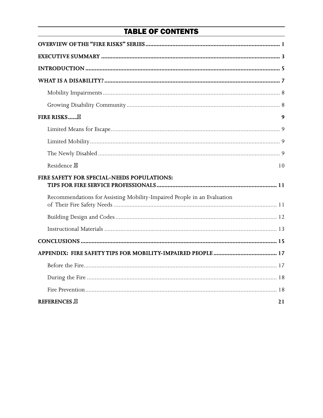## **TABLE OF CONTENTS**

| FIRE RISKS⊠                                                             | 9  |
|-------------------------------------------------------------------------|----|
|                                                                         |    |
|                                                                         |    |
|                                                                         |    |
| Residence. <sup>8</sup>                                                 | 10 |
| FIRE SAFETY FOR SPECIAL-NEEDS POPULATIONS:                              |    |
| Recommendations for Assisting Mobility-Impaired People in an Evaluation |    |
|                                                                         |    |
|                                                                         |    |
|                                                                         |    |
|                                                                         |    |
|                                                                         |    |
|                                                                         |    |
|                                                                         |    |
| <b>REFERENCES.</b>                                                      | 21 |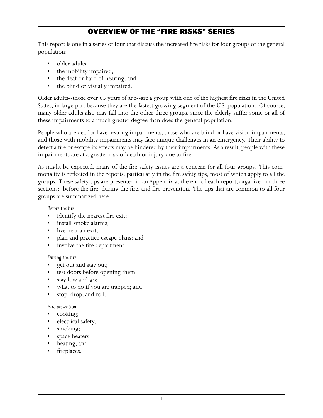## OVERVIEW OF THE "FIRE RISKS" SERIES

<span id="page-4-0"></span>This report is one in a series of four that discuss the increased fire risks for four groups of the general population:

- older adults;
- the mobility impaired;
- the deaf or hard of hearing; and
- the blind or visually impaired.

Older adults--those over 65 years of age--are a group with one of the highest fire risks in the United States, in large part because they are the fastest growing segment of the U.S. population. Of course, many older adults also may fall into the other three groups, since the elderly suffer some or all of these impairments to a much greater degree than does the general population.

People who are deaf or have hearing impairments, those who are blind or have vision impairments, and those with mobility impairments may face unique challenges in an emergency. Their ability to detect a fire or escape its effects may be hindered by their impairments. As a result, people with these impairments are at a greater risk of death or injury due to fire.

As might be expected, many of the fire safety issues are a concern for all four groups. This commonality is reflected in the reports, particularly in the fire safety tips, most of which apply to all the groups. These safety tips are presented in an Appendix at the end of each report, organized in three sections: before the fire, during the fire, and fire prevention. The tips that are common to all four groups are summarized here:

 *Before the fire:* 

- identify the nearest fire exit;
- install smoke alarms;
- live near an exit;
- plan and practice escape plans; and
- involve the fire department.

 *During the fire:* 

- get out and stay out;
- test doors before opening them;
- stay low and go;
- what to do if you are trapped; and
- stop, drop, and roll.

 *Fire prevention:* 

- cooking;
- electrical safety;
- smoking;
- space heaters;
- heating; and
- fireplaces.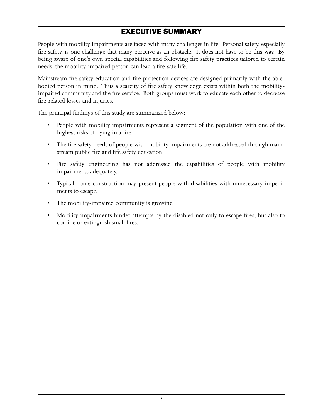## EXECUTIVE SUMMARY

<span id="page-5-0"></span>People with mobility impairments are faced with many challenges in life. Personal safety, especially fire safety, is one challenge that many perceive as an obstacle. It does not have to be this way. By being aware of one's own special capabilities and following fire safety practices tailored to certain needs, the mobility-impaired person can lead a fire-safe life.

Mainstream fire safety education and fire protection devices are designed primarily with the ablebodied person in mind. Thus a scarcity of fire safety knowledge exists within both the mobilityimpaired community and the fire service. Both groups must work to educate each other to decrease fire-related losses and injuries.

The principal findings of this study are summarized below:

- People with mobility impairments represent a segment of the population with one of the highest risks of dying in a fire.
- The fire safety needs of people with mobility impairments are not addressed through main stream public fire and life safety education.
- Fire safety engineering has not addressed the capabilities of people with mobility impairments adequately.
- Typical home construction may present people with disabilities with unnecessary impedi ments to escape.
- The mobility-impaired community is growing.
- Mobility impairments hinder attempts by the disabled not only to escape fires, but also to confine or extinguish small fires.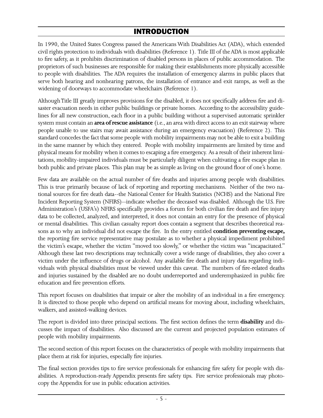### INTRODUCTION

<span id="page-6-0"></span>In 1990, the United States Congress passed the Americans With Disabilities Act (ADA), which extended civil rights protection to individuals with disabilities (Reference 1). Title III of the ADA is most applicable to fire safety, as it prohibits discrimination of disabled persons in places of public accommodation. The proprietors of such businesses are responsible for making their establishments more physically accessible to people with disabilities. The ADA requires the installation of emergency alarms in public places that serve both hearing and nonhearing patrons, the installation of entrance and exit ramps, as well as the widening of doorways to accommodate wheelchairs (Reference 1).

Although Title III greatly improves provisions for the disabled, it does not specifically address fire and disaster evacuation needs in either public buildings or private homes. According to the accessibility guidelines for all new construction, each floor in a public building without a supervised automatic sprinkler system must contain an **area of rescue assistance** (i.e., an area with direct access to an exit stairway where people unable to use stairs may await assistance during an emergency evacuation) (Reference 2). This standard concedes the fact that some people with mobility impairments may not be able to exit a building in the same manner by which they entered. People with mobility impairments are limited by time and physical means for mobility when it comes to escaping a fire emergency. As a result of their inherent limitations, mobility-impaired individuals must be particularly diligent when cultivating a fire escape plan in both public and private places. This plan may be as simple as living on the ground floor of one's home.

Few data are available on the actual number of fire deaths and injuries among people with disabilities. This is true primarily because of lack of reporting and reporting mechanisms. Neither of the two national sources for fire death data--the National Center for Health Statistics (NCHS) and the National Fire Incident Reporting System (NFIRS)--indicate whether the deceased was disabled. Although the U.S. Fire Administration's (USFA's) NFIRS specifically provides a forum for both civilian fire death and fire injury data to be collected, analyzed, and interpreted, it does not contain an entry for the presence of physical or mental disabilities. This civilian casualty report does contain a segment that describes theoretical reasons as to why an individual did not escape the fire. In the entry entitled **condition preventing escape,** the reporting fire service representative may postulate as to whether a physical impediment prohibited the victim's escape, whether the victim "moved too slowly," or whether the victim was "incapacitated." Although these last two descriptions may technically cover a wide range of disabilities, they also cover a victim under the influence of drugs or alcohol. Any available fire death and injury data regarding individuals with physical disabilities must be viewed under this caveat. The numbers of fire-related deaths and injuries sustained by the disabled are no doubt underreported and underemphasized in public fire education and fire prevention efforts.

This report focuses on disabilities that impair or alter the mobility of an individual in a fire emergency. It is directed to those people who depend on artificial means for moving about, including wheelchairs, walkers, and assisted-walking devices.

The report is divided into three principal sections. The first section defines the term **disability** and discusses the impact of disabilities. Also discussed are the current and projected population estimates of people with mobility impairments.

The second section of this report focuses on the characteristics of people with mobility impairments that place them at risk for injuries, especially fire injuries.

The final section provides tips to fire service professionals for enhancing fire safety for people with disabilities. A reproduction-ready Appendix presents fire safety tips. Fire service professionals may photocopy the Appendix for use in public education activities.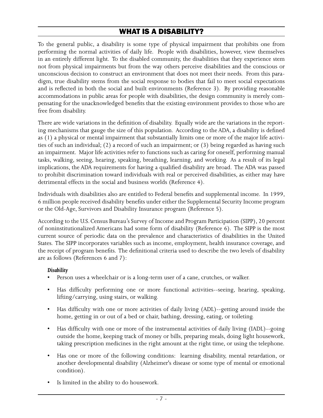## WHAT IS A DISABILITY?

<span id="page-7-0"></span>To the general public, a disability is some type of physical impairment that prohibits one from performing the normal activities of daily life. People with disabilities, however, view themselves in an entirely different light. To the disabled community, the disabilities that they experience stem not from physical impairments but from the way others perceive disabilities and the conscious or unconscious decision to construct an environment that does not meet their needs. From this paradigm, true disability stems from the social response to bodies that fail to meet social expectations and is reflected in both the social and built environments (Reference 3). By providing reasonable accommodations in public areas for people with disabilities, the design community is merely compensating for the unacknowledged benefits that the existing environment provides to those who are free from disability.

There are wide variations in the definition of disability. Equally wide are the variations in the reporting mechanisms that gauge the size of this population. According to the ADA, a disability is defined as (1) a physical or mental impairment that substantially limits one or more of the major life activities of such an individual; (2) a record of such an impairment; or (3) being regarded as having such an impairment. Major life activities refer to functions such as caring for oneself, performing manual tasks, walking, seeing, hearing, speaking, breathing, learning, and working. As a result of its legal implications, the ADA requirements for having a qualified disability are broad. The ADA was passed to prohibit discrimination toward individuals with real or perceived disabilities, as either may have detrimental effects in the social and business worlds (Reference 4).

Individuals with disabilities also are entitled to Federal benefits and supplemental income. In 1999, 6 million people received disability benefits under either the Supplemental Security Income program or the Old-Age, Survivors and Disability Insurance program (Reference 5).

According to the U.S. Census Bureau's Survey of Income and Program Participation (SIPP), 20 percent of noninstitutionalized Americans had some form of disability (Reference 6). The SIPP is the most current source of periodic data on the prevalence and characteristics of disabilities in the United States. The SIPP incorporates variables such as income, employment, health insurance coverage, and the receipt of program benefits. The definitional criteria used to describe the two levels of disability are as follows (References 6 and 7):

#### *Disability*

- Person uses a wheelchair or is a long-term user of a cane, crutches, or walker.
- Has difficulty performing one or more functional activities--seeing, hearing, speaking, lifting/carrying, using stairs, or walking.
- Has difficulty with one or more activities of daily living (ADL)--getting around inside the home, getting in or out of a bed or chair, bathing, dressing, eating, or toileting.
- Has difficulty with one or more of the instrumental activities of daily living (IADL)--going outside the home, keeping track of money or bills, preparing meals, doing light housework, taking prescription medicines in the right amount at the right time, or using the telephone.
- Has one or more of the following conditions: learning disability, mental retardation, or another developmental disability (Alzheimer's disease or some type of mental or emotional condition).
- Is limited in the ability to do housework.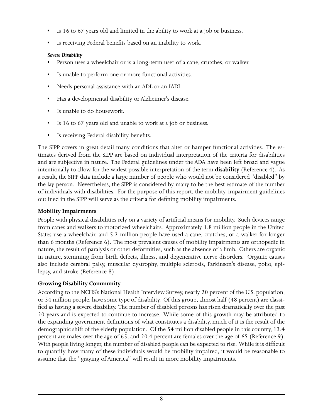- <span id="page-8-0"></span>• Is 16 to 67 years old and limited in the ability to work at a job or business.
- Is receiving Federal benefits based on an inability to work.

#### *Severe Disability*

- Person uses a wheelchair or is a long-term user of a cane, crutches, or walker.
- Is unable to perform one or more functional activities.
- Needs personal assistance with an ADL or an IADL.
- Has a developmental disability or Alzheimer's disease.
- Is unable to do housework.
- Is 16 to 67 years old and unable to work at a job or business.
- Is receiving Federal disability benefits.

The SIPP covers in great detail many conditions that alter or hamper functional activities. The estimates derived from the SIPP are based on individual interpretation of the criteria for disabilities and are subjective in nature. The Federal guidelines under the ADA have been left broad and vague intentionally to allow for the widest possible interpretation of the term **disability** (Reference 4). As a result, the SIPP data include a large number of people who would not be considered "disabled" by the lay person. Nevertheless, the SIPP is considered by many to be the best estimate of the number of individuals with disabilities. For the purpose of this report, the mobility-impairment guidelines outlined in the SIPP will serve as the criteria for defining mobility impairments.

#### **Mobility Impairments**

People with physical disabilities rely on a variety of artificial means for mobility. Such devices range from canes and walkers to motorized wheelchairs. Approximately 1.8 million people in the United States use a wheelchair, and 5.2 million people have used a cane, crutches, or a walker for longer than 6 months (Reference 6). The most prevalent causes of mobility impairments are orthopedic in nature, the result of paralysis or other deformities, such as the absence of a limb. Others are organic in nature, stemming from birth defects, illness, and degenerative nerve disorders. Organic causes also include cerebral palsy, muscular dystrophy, multiple sclerosis, Parkinson's disease, polio, epilepsy, and stroke (Reference 8).

#### **Growing Disability Community**

According to the NCHS's National Health Interview Survey, nearly 20 percent of the U.S. population, or 54 million people, have some type of disability. Of this group, almost half (48 percent) are classified as having a severe disability. The number of disabled persons has risen dramatically over the past 20 years and is expected to continue to increase. While some of this growth may be attributed to the expanding government definitions of what constitutes a disability, much of it is the result of the demographic shift of the elderly population. Of the 54 million disabled people in this country, 13.4 percent are males over the age of 65, and 20.4 percent are females over the age of 65 (Reference 9). With people living longer, the number of disabled people can be expected to rise. While it is difficult to quantify how many of these individuals would be mobility impaired, it would be reasonable to assume that the "graying of America" will result in more mobility impairments.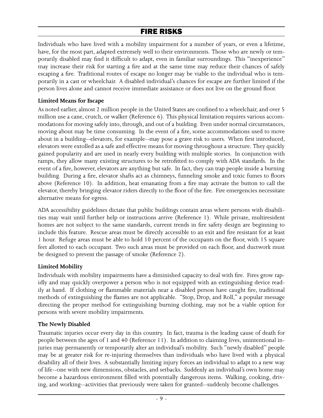## FIRE RISKS

<span id="page-9-0"></span>Individuals who have lived with a mobility impairment for a number of years, or even a lifetime, have, for the most part, adapted extremely well to their environments. Those who are newly or temporarily disabled may find it difficult to adapt, even in familiar surroundings. This "inexperience" may increase their risk for starting a fire and at the same time may reduce their chances of safely escaping a fire. Traditional routes of escape no longer may be viable to the individual who is temporarily in a cast or wheelchair. A disabled individual's chances for escape are further limited if the person lives alone and cannot receive immediate assistance or does not live on the ground floor.

#### **Limited Means for Escape**

As noted earlier, almost 2 million people in the United States are confined to a wheelchair, and over 5 million use a cane, crutch, or walker (Reference 6). This physical limitation requires various accommodations for moving safely into, through, and out of a building. Even under normal circumstances, moving about may be time consuming. In the event of a fire, some accommodations used to move about in a building--elevators, for example--may pose a grave risk to users. When first introduced, elevators were extolled as a safe and effective means for moving throughout a structure. They quickly gained popularity and are used in nearly every building with multiple stories. In conjunction with ramps, they allow many existing structures to be retrofitted to comply with ADA standards. In the event of a fire, however, elevators are anything but safe. In fact, they can trap people inside a burning building. During a fire, elevator shafts act as chimneys, funneling smoke and toxic fumes to floors above (Reference 10). In addition, heat emanating from a fire may activate the button to call the elevator, thereby bringing elevator riders directly to the floor of the fire. Fire emergencies necessitate alternative means for egress.

ADA accessibility guidelines dictate that public buildings contain areas where persons with disabilities may wait until further help or instructions arrive (Reference 1). While private, multiresident homes are not subject to the same standards, current trends in fire safety design are beginning to include this feature. Rescue areas must be directly accessible to an exit and fire resistant for at least 1 hour. Refuge areas must be able to hold 10 percent of the occupants on the floor, with 15 square feet allotted to each occupant. Two such areas must be provided on each floor, and ductwork must be designed to prevent the passage of smoke (Reference 2).

#### **Limited Mobility**

Individuals with mobility impairments have a diminished capacity to deal with fire. Fires grow rapidly and may quickly overpower a person who is not equipped with an extinguishing device readily at hand. If clothing or flammable materials near a disabled person have caught fire, traditional methods of extinguishing the flames are not applicable. "Stop, Drop, and Roll," a popular message directing the proper method for extinguishing burning clothing, may not be a viable option for persons with severe mobility impairments.

#### **The Newly Disabled**

Traumatic injuries occur every day in this country. In fact, trauma is the leading cause of death for people between the ages of 1 and 40 (Reference 11). In addition to claiming lives, unintentional injuries may permanently or temporarily alter an individual's mobility. Such "newly disabled" people may be at greater risk for re-injuring themselves than individuals who have lived with a physical disability all of their lives. A substantially limiting injury forces an individual to adapt to a new way of life--one with new dimensions, obstacles, and setbacks. Suddenly an individual's own home may become a hazardous environment filled with potentially dangerous items. Walking, cooking, driving, and working--activities that previously were taken for granted--suddenly become challenges.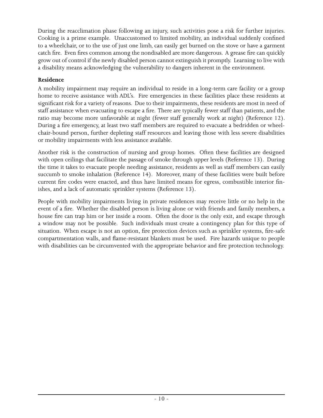<span id="page-10-0"></span>During the reacclimation phase following an injury, such activities pose a risk for further injuries. Cooking is a prime example. Unaccustomed to limited mobility, an individual suddenly confined to a wheelchair, or to the use of just one limb, can easily get burned on the stove or have a garment catch fire. Even fires common among the nondisabled are more dangerous. A grease fire can quickly grow out of control if the newly disabled person cannot extinguish it promptly. Learning to live with a disability means acknowledging the vulnerability to dangers inherent in the environment.

#### **Residence**

A mobility impairment may require an individual to reside in a long-term care facility or a group home to receive assistance with ADL's. Fire emergencies in these facilities place these residents at significant risk for a variety of reasons. Due to their impairments, these residents are most in need of staff assistance when evacuating to escape a fire. There are typically fewer staff than patients, and the ratio may become more unfavorable at night (fewer staff generally work at night) (Reference 12). During a fire emergency, at least two staff members are required to evacuate a bedridden or wheelchair-bound person, further depleting staff resources and leaving those with less severe disabilities or mobility impairments with less assistance available.

Another risk is the construction of nursing and group homes. Often these facilities are designed with open ceilings that facilitate the passage of smoke through upper levels (Reference 13). During the time it takes to evacuate people needing assistance, residents as well as staff members can easily succumb to smoke inhalation (Reference 14). Moreover, many of these facilities were built before current fire codes were enacted, and thus have limited means for egress, combustible interior finishes, and a lack of automatic sprinkler systems (Reference 13).

People with mobility impairments living in private residences may receive little or no help in the event of a fire. Whether the disabled person is living alone or with friends and family members, a house fire can trap him or her inside a room. Often the door is the only exit, and escape through a window may not be possible. Such individuals must create a contingency plan for this type of situation. When escape is not an option, fire protection devices such as sprinkler systems, fire-safe compartmentation walls, and flame-resistant blankets must be used. Fire hazards unique to people with disabilities can be circumvented with the appropriate behavior and fire protection technology.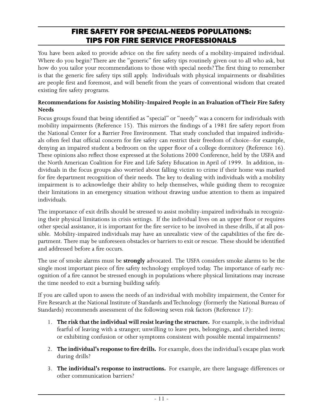## FIRE SAFETY FOR SPECIAL-NEEDS POPULATIONS: TIPS FOR FIRE SERVICE PROFESSIONALS

<span id="page-11-0"></span>You have been asked to provide advice on the fire safety needs of a mobility-impaired individual. Where do you begin? There are the "generic" fire safety tips routinely given out to all who ask, but how do you tailor your recommendations to those with special needs? The first thing to remember is that the generic fire safety tips still apply. Individuals with physical impairments or disabilities are people first and foremost, and will benefit from the years of conventional wisdom that created existing fire safety programs.

#### **Recommendations for Assisting Mobility-Impaired People in an Evaluation of Their Fire Safety Needs**

Focus groups found that being identified as "special" or "needy" was a concern for individuals with mobility impairments (Reference 15). This mirrors the findings of a 1981 fire safety report from the National Center for a Barrier Free Environment. That study concluded that impaired individuals often feel that official concern for fire safety can restrict their freedom of choice--for example, denying an impaired student a bedroom on the upper floor of a college dormitory (Reference 16). These opinions also reflect those expressed at the Solutions 2000 Conference, held by the USFA and the North American Coalition for Fire and Life Safety Education in April of 1999. In addition, individuals in the focus groups also worried about falling victim to crime if their home was marked for fire department recognition of their needs. The key to dealing with individuals with a mobility impairment is to acknowledge their ability to help themselves, while guiding them to recognize their limitations in an emergency situation without drawing undue attention to them as impaired individuals.

The importance of exit drills should be stressed to assist mobility-impaired individuals in recognizing their physical limitations in crisis settings. If the individual lives on an upper floor or requires other special assistance, it is important for the fire service to be involved in these drills, if at all possible. Mobility-impaired individuals may have an unrealistic view of the capabilities of the fire department. There may be unforeseen obstacles or barriers to exit or rescue. These should be identified and addressed before a fire occurs.

The use of smoke alarms must be **strongly** advocated. The USFA considers smoke alarms to be the single most important piece of fire safety technology employed today. The importance of early recognition of a fire cannot be stressed enough in populations where physical limitations may increase the time needed to exit a burning building safely.

If you are called upon to assess the needs of an individual with mobility impairment, the Center for Fire Research at the National Institute of Standards and Technology (formerly the National Bureau of Standards) recommends assessment of the following seven risk factors (Reference 17):

- 1. **The risk that the individual will resist leaving the structure.** For example, is the individual fearful of leaving with a stranger; unwilling to leave pets, belongings, and cherished items; or exhibiting confusion or other symptoms consistent with possible mental impairments?
- 2. **The individual's response to fire drills.** For example, does the individual's escape plan work during drills?
- 3. **The individual's response to instructions.** For example, are there language differences or other communication barriers?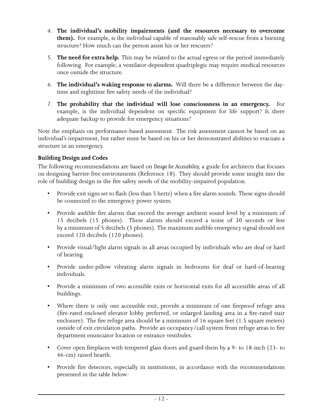- <span id="page-12-0"></span> 4. **The individual's mobility impairments (and the resources necessary to overcome them).** For example, is the individual capable of reasonably safe self-rescue from a burning structure? How much can the person assist his or her rescuers?
- 5. **The need for extra help.** This may be related to the actual egress or the period immediately following. For example, a ventilator-dependent quadriplegic may require medical resources once outside the structure.
- 6. **The individual's waking response to alarms.** Will there be a difference between the day time and nighttime fire safety needs of the individual?
- 7. **The probability that the individual will lose consciousness in an emergency.** For example, is the individual dependent on specific equipment for life support? Is there adequate backup to provide for emergency situations?

Note the emphasis on performance-based assessment. The risk assessment cannot be based on an individual's impairment, but rather must be based on his or her demonstrated abilities to evacuate a structure in an emergency.

#### **Building Design and Codes**

The following recommendations are based on *Design for Accessibility,* a guide for architects that focuses on designing barrier-free environments (Reference 18). They should provide some insight into the role of building design in the fire safety needs of the mobility-impaired population.

- Provide exit signs set to flash (less than 5 hertz) when a fire alarm sounds. These signs should be connected to the emergency power system.
- Provide audible fire alarms that exceed the average ambient sound level by a minimum of 15 decibels (15 phones). These alarms should exceed a noise of 30 seconds or less by a minimum of 5 decibels (5 phones). The maximum audible emergency signal should not exceed 120 decibels (120 phones).
- Provide visual/light alarm signals in all areas occupied by individuals who are deaf or hard of hearing.
- Provide under-pillow vibrating alarm signals in bedrooms for deaf or hard-of-hearing individuals.
- Provide a minimum of two accessible exits or horizontal exits for all accessible areas of all buildings.
- Where there is only one accessible exit, provide a minimum of one fireproof refuge area (fire-rated enclosed elevator lobby preferred, or enlarged landing area in a fire-rated stair enclosure). The fire refuge area should be a minimum of 16 square feet (1.5 square meters) outside of exit circulation paths. Provide an occupancy/call system from refuge areas to fire department enunciator location or entrance vestibules.
- Cover open fireplaces with tempered glass doors and guard them by a 9- to 18-inch (23- to 46-cm) raised hearth.
- Provide fire detectors, especially in institutions, in accordance with the recommendations presented in the table below: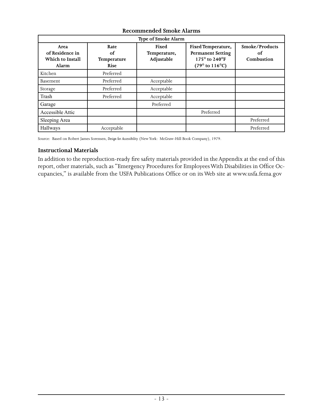<span id="page-13-0"></span>

| Type of Smoke Alarm                                  |                                          |                                     |                                                                                                      |                                    |  |
|------------------------------------------------------|------------------------------------------|-------------------------------------|------------------------------------------------------------------------------------------------------|------------------------------------|--|
| Area<br>of Residence in<br>Which to Install<br>Alarm | Rate<br>of<br><b>Temperature</b><br>Rise | Fixed<br>Temperature,<br>Adjustable | Fixed Temperature,<br><b>Permanent Setting</b><br>175° to 240°F<br>$(79^{\circ}$ to $116^{\circ}$ C) | Smoke/Products<br>of<br>Combustion |  |
| Kitchen                                              | Preferred                                |                                     |                                                                                                      |                                    |  |
| Basement                                             | Preferred                                | Acceptable                          |                                                                                                      |                                    |  |
| Storage                                              | Preferred                                | Acceptable                          |                                                                                                      |                                    |  |
| Trash                                                | Preferred                                | Acceptable                          |                                                                                                      |                                    |  |
| Garage                                               |                                          | Preferred                           |                                                                                                      |                                    |  |
| Accessible Attic                                     |                                          |                                     | Preferred                                                                                            |                                    |  |
| Sleeping Area                                        |                                          |                                     |                                                                                                      | Preferred                          |  |
| Hallways                                             | Acceptable                               |                                     |                                                                                                      | Preferred                          |  |

#### **Recommended Smoke Alarms**

Source: Based on Robert James Sorensen, *Design for Accessibility* (New York: McGraw-Hill Book Company), 1979.

#### **Instructional Materials**

In addition to the reproduction-ready fire safety materials provided in the Appendix at the end of this report, other materials, such as "Emergency Procedures for Employees With Disabilities in Office Occupancies," is available from the USFA Publications Office or on its Web site at www.usfa.fema.gov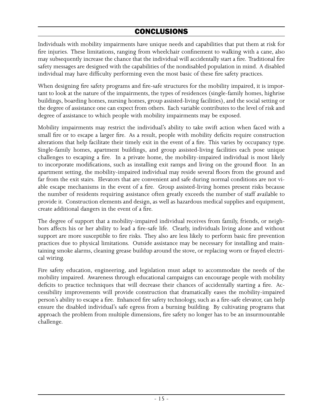## CONCLUSIONS

<span id="page-14-0"></span>Individuals with mobility impairments have unique needs and capabilities that put them at risk for fire injuries. These limitations, ranging from wheelchair confinement to walking with a cane, also may subsequently increase the chance that the individual will accidentally start a fire. Traditional fire safety messages are designed with the capabilities of the nondisabled population in mind. A disabled individual may have difficulty performing even the most basic of these fire safety practices.

When designing fire safety programs and fire-safe structures for the mobility impaired, it is important to look at the nature of the impairments, the types of residences (single-family homes, highrise buildings, boarding homes, nursing homes, group assisted-living facilities), and the social setting or the degree of assistance one can expect from others. Each variable contributes to the level of risk and degree of assistance to which people with mobility impairments may be exposed.

Mobility impairments may restrict the individual's ability to take swift action when faced with a small fire or to escape a larger fire. As a result, people with mobility deficits require construction alterations that help facilitate their timely exit in the event of a fire. This varies by occupancy type. Single-family homes, apartment buildings, and group assisted-living facilities each pose unique challenges to escaping a fire. In a private home, the mobility-impaired individual is most likely to incorporate modifications, such as installing exit ramps and living on the ground floor. In an apartment setting, the mobility-impaired individual may reside several floors from the ground and far from the exit stairs. Elevators that are convenient and safe during normal conditions are not viable escape mechanisms in the event of a fire. Group assisted-living homes present risks because the number of residents requiring assistance often greatly exceeds the number of staff available to provide it. Construction elements and design, as well as hazardous medical supplies and equipment, create additional dangers in the event of a fire.

The degree of support that a mobility-impaired individual receives from family, friends, or neighbors affects his or her ability to lead a fire-safe life. Clearly, individuals living alone and without support are more susceptible to fire risks. They also are less likely to perform basic fire prevention practices due to physical limitations. Outside assistance may be necessary for installing and maintaining smoke alarms, cleaning grease buildup around the stove, or replacing worn or frayed electrical wiring.

Fire safety education, engineering, and legislation must adapt to accommodate the needs of the mobility impaired. Awareness through educational campaigns can encourage people with mobility deficits to practice techniques that will decrease their chances of accidentally starting a fire. Accessibility improvements will provide construction that dramatically eases the mobility-impaired person's ability to escape a fire. Enhanced fire safety technology, such as a fire-safe elevator, can help ensure the disabled individual's safe egress from a burning building. By cultivating programs that approach the problem from multiple dimensions, fire safety no longer has to be an insurmountable challenge.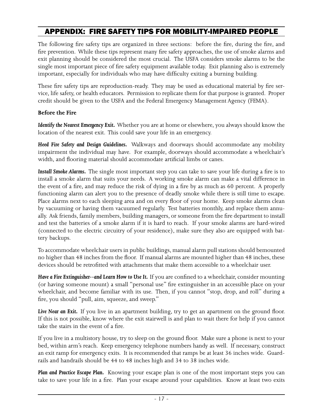## <span id="page-15-0"></span>APPENDIX: FIRE SAFETY TIPS FOR MOBILITY-IMPAIRED PEOPLE

The following fire safety tips are organized in three sections: before the fire, during the fire, and fire prevention. While these tips represent many fire safety approaches, the use of smoke alarms and exit planning should be considered the most crucial. The USFA considers smoke alarms to be the single most important piece of fire safety equipment available today. Exit planning also is extremely important, especially for individuals who may have difficulty exiting a burning building.

These fire safety tips are reproduction-ready. They may be used as educational material by fire service, life safety, or health educators. Permission to replicate them for that purpose is granted. Proper credit should be given to the USFA and the Federal Emergency Management Agency (FEMA).

#### **Before the Fire**

*Identify the Nearest Emergency Exit.* Whether you are at home or elsewhere, you always should know the location of the nearest exit. This could save your life in an emergency.

*Heed Fire Safety and Design Guidelines.* Walkways and doorways should accommodate any mobility impairment the individual may have. For example, doorways should accommodate a wheelchair's width, and flooring material should accommodate artificial limbs or canes.

*Install Smoke Alarms.* The single most important step you can take to save your life during a fire is to install a smoke alarm that suits your needs. A working smoke alarm can make a vital difference in the event of a fire, and may reduce the risk of dying in a fire by as much as 60 percent. A properly functioning alarm can alert you to the presence of deadly smoke while there is still time to escape. Place alarms next to each sleeping area and on every floor of your home. Keep smoke alarms clean by vacuuming or having them vacuumed regularly. Test batteries monthly, and replace them annually. Ask friends, family members, building managers, or someone from the fire department to install and test the batteries of a smoke alarm if it is hard to reach. If your smoke alarms are hard-wired (connected to the electric circuitry of your residence), make sure they also are equipped with battery backups.

To accommodate wheelchair users in public buildings, manual alarm pull stations should bemounted no higher than 48 inches from the floor. If manual alarms are mounted higher than 48 inches, these devices should be retrofitted with attachments that make them accessible to a wheelchair user.

Have a Fire Extinguisher--and Learn How to Use It. If you are confined to a wheelchair, consider mounting (or having someone mount) a small "personal use" fire extinguisher in an accessible place on your wheelchair, and become familiar with its use. Then, if you cannot "stop, drop, and roll" during a fire, you should "pull, aim, squeeze, and sweep."

Live Near an Exit. If you live in an apartment building, try to get an apartment on the ground floor. If this is not possible, know where the exit stairwell is and plan to wait there for help if you cannot take the stairs in the event of a fire.

If you live in a multistory house, try to sleep on the ground floor. Make sure a phone is next to your bed, within arm's reach. Keep emergency telephone numbers handy as well. If necessary, construct an exit ramp for emergency exits. It is recommended that ramps be at least 36 inches wide. Guardrails and handrails should be 44 to 48 inches high and 34 to 38 inches wide.

*Plan and Practice Escape Plan.* Knowing your escape plan is one of the most important steps you can take to save your life in a fire. Plan your escape around your capabilities. Know at least two exits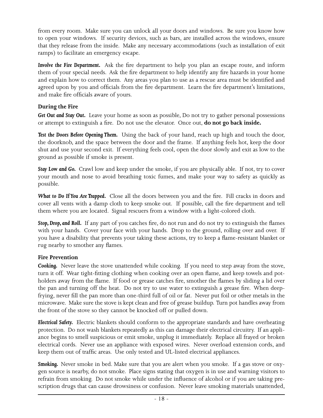<span id="page-16-0"></span>from every room. Make sure you can unlock all your doors and windows. Be sure you know how to open your windows. If security devices, such as bars, are installed across the windows, ensure that they release from the inside. Make any necessary accommodations (such as installation of exit ramps) to facilitate an emergency escape.

*Involve the Fire Department.* Ask the fire department to help you plan an escape route, and inform them of your special needs. Ask the fire department to help identify any fire hazards in your home and explain how to correct them. Any areas you plan to use as a rescue area must be identified and agreed upon by you and officials from the fire department. Learn the fire department's limitations, and make fire officials aware of yours.

#### **During the Fire**

*Get Out and Stay Out.* Leave your home as soon as possible, Do not try to gather personal possessions or attempt to extinguish a fire. Do not use the elevator. Once out, **do not go back inside.**

*Test the Doors Before Opening Them.* Using the back of your hand, reach up high and touch the door, the doorknob, and the space between the door and the frame. If anything feels hot, keep the door shut and use your second exit. If everything feels cool, open the door slowly and exit as low to the ground as possible if smoke is present.

*Stay Low and Go.* Crawl low and keep under the smoke, if you are physically able. If not, try to cover your mouth and nose to avoid breathing toxic fumes, and make your way to safety as quickly as possible.

*What to Do If You Are Trapped.* Close all the doors between you and the fire. Fill cracks in doors and cover all vents with a damp cloth to keep smoke out. If possible, call the fire department and tell them where you are located. Signal rescuers from a window with a light-colored cloth.

*Stop, Drop, and Roll.* If any part of you catches fire, do not run and do not try to extinguish the flames with your hands. Cover your face with your hands. Drop to the ground, rolling over and over. If you have a disability that prevents your taking these actions, try to keep a flame-resistant blanket or rug nearby to smother any flames.

#### **Fire Prevention**

**Cooking.** Never leave the stove unattended while cooking. If you need to step away from the stove, turn it off. Wear tight-fitting clothing when cooking over an open flame, and keep towels and potholders away from the flame. If food or grease catches fire, smother the flames by sliding a lid over the pan and turning off the heat. Do not try to use water to extinguish a grease fire. When deepfrying, never fill the pan more than one-third full of oil or fat. Never put foil or other metals in the microwave. Make sure the stove is kept clean and free of grease buildup. Turn pot handles away from the front of the stove so they cannot be knocked off or pulled down.

*Electrical Safety.* Electric blankets should conform to the appropriate standards and have overheating protection. Do not wash blankets repeatedly as this can damage their electrical circuitry. If an appliance begins to smell suspicious or emit smoke, unplug it immediately. Replace all frayed or broken electrical cords. Never use an appliance with exposed wires. Never overload extension cords, and keep them out of traffic areas. Use only tested and UL-listed electrical appliances.

*Smoking.* Never smoke in bed. Make sure that you are alert when you smoke. If a gas stove or oxygen source is nearby, do not smoke. Place signs stating that oxygen is in use and warning visitors to refrain from smoking. Do not smoke while under the influence of alcohol or if you are taking prescription drugs that can cause drowsiness or confusion. Never leave smoking materials unattended,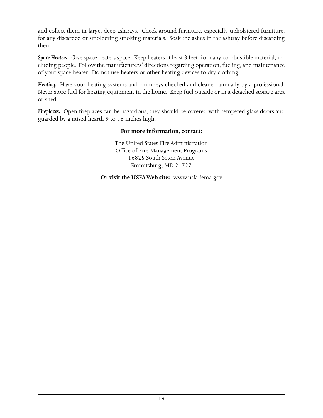and collect them in large, deep ashtrays. Check around furniture, especially upholstered furniture, for any discarded or smoldering smoking materials. Soak the ashes in the ashtray before discarding them.

*Space Heaters.* Give space heaters space. Keep heaters at least 3 feet from any combustible material, including people. Follow the manufacturers' directions regarding operation, fueling, and maintenance of your space heater. Do not use heaters or other heating devices to dry clothing.

*Heating.* Have your heating systems and chimneys checked and cleaned annually by a professional. Never store fuel for heating equipment in the home. Keep fuel outside or in a detached storage area or shed.

*Fireplaces.* Open fireplaces can be hazardous; they should be covered with tempered glass doors and guarded by a raised hearth 9 to 18 inches high.

#### **For more information, contact:**

The United States Fire Administration Office of Fire Management Programs 16825 South Seton Avenue Emmitsburg, MD 21727

**Or visit the USFA Web site:** www.usfa.fema.gov